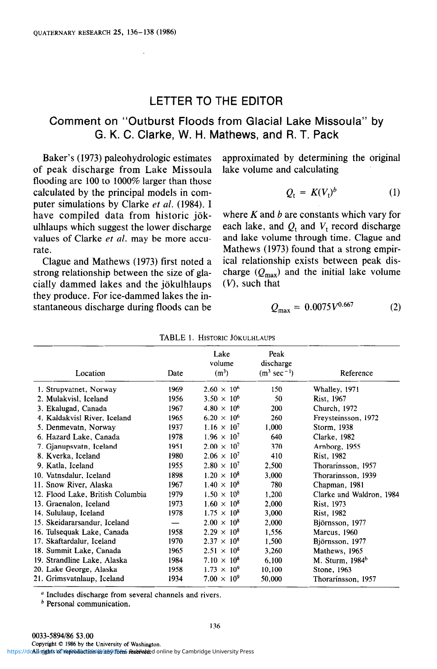## LETTER TO THE EDITOR

## Comment on "Outburst Floods from Glacial Lake Missoula" by G. K. C. Clarke, W. H. Mathews, and R. T. Pack

Baker's (1973) paleohydrologic estimates of peak discharge from Lake Missoula flooding are 100 to 1000% larger than those calculated by the principal models in computer simulations by Clarke et al. (1984). I have compiled data from historic jokulhlaups which suggest the lower discharge values of Clarke et al. may be more accurate.

Clague and Mathews (1973) first noted a strong relationship between the size of glacially dammed lakes and the jokulhlaups they produce. For ice-dammed lakes the instantaneous discharge during floods can be

approximated by determining the original lake volume and calculating

$$
Q_t = K(V_t)^b \tag{1}
$$

where  $K$  and  $b$  are constants which vary for each lake, and  $Q_t$  and  $V_t$  record discharge and lake volume through time. Clague and Mathews (1973) found that a strong empirical relationship exists between peak discharge  $(Q_{\text{max}})$  and the initial lake volume  $(V)$ , such that

$$
Q_{\text{max}} = 0.0075 V^{0.667} \tag{2}
$$

| Location                         | Date | Lake<br>volume<br>(m <sup>3</sup> ) | Peak<br>discharge<br>$(m^3 \text{ sec}^{-1})$ | Reference                   |
|----------------------------------|------|-------------------------------------|-----------------------------------------------|-----------------------------|
| 1. Strupvatnet, Norway           | 1969 | $2.60 \times 10^{6}$                | 150                                           | Whalley, 1971               |
| 2. Mulakvisl, Iceland            | 1956 | $3.50 \times 10^{6}$                | 50                                            | Rist, 1967                  |
| 3. Ekalugad, Canada              | 1967 | $4.80 \times 10^{6}$                | 200                                           | Church, 1972                |
| 4. Kaldakvisl River. Iceland     | 1965 | $6.20 \times 10^{6}$                | 260                                           | Freysteinsson, 1972         |
| 5. Denmevatn, Norway             | 1937 | $1.16 \times 10^{7}$                | 1,000                                         | Storm, 1938                 |
| 6. Hazard Lake, Canada           | 1978 | $1.96 \times 10^{7}$                | 640                                           | Clarke, 1982                |
| 7. Gjanupsvatn, Iceland          | 1951 | $2.00 \times 10^{7}$                | 370                                           | Arnborg, 1955               |
| 8. Kverka, Iceland               | 1980 | $2.06 \times 10^{7}$                | 410                                           | Rist, 1982                  |
| 9. Katla, Iceland                | 1955 | $2.80 \times 10^{7}$                | 2,500                                         | Thorarinsson, 1957          |
| 10. Vatnsdalur, Iceland          | 1898 | $1.20 \times 10^8$                  | 3,000                                         | Thorarinsson, 1939          |
| 11. Snow River, Alaska           | 1967 | $1.40 \times 10^8$                  | 780                                           | Chapman, 1981               |
| 12. Flood Lake, British Columbia | 1979 | $1.50 \times 10^8$                  | 1.200                                         | Clarke and Waldron, 1984    |
| 13. Graenalon, Iceland           | 1973 | $1.60 \times 10^8$                  | 2,000                                         | Rist, 1973                  |
| 14. Sululaup, Iceland            | 1978 | $1.75 \times 10^{8}$                | 3,000                                         | Rist, 1982                  |
| 15. Skeidararsandur, Iceland     |      | $2.00 \times 10^8$                  | 2,000                                         | Björnsson, 1977             |
| 16. Tulsequak Lake, Canada       | 1958 | $2.29 \times 10^8$                  | 1,556                                         | Marcus, 1960                |
| 17. Skaftardalur, Iceland        | 1970 | $2.37 \times 10^{8}$                | 1,500                                         | Björnsson, 1977             |
| 18. Summit Lake, Canada          | 1965 | $2.51 \times 10^8$                  | 3,260                                         | Mathews, 1965               |
| 19. Strandline Lake, Alaska      | 1984 | 7.10 $\times$ 10 <sup>8</sup>       | 6,100                                         | M. Sturm, 1984 <sup>b</sup> |
| 20. Lake George, Alaska          | 1958 | $1.73 \times 10^{9}$                | 10,100                                        | Stone, 1963                 |
| 21. Grimsvatnlaup, Iceland       | 1934 | $7.00 \times 10^{9}$                | 50,000                                        | Thorarinsson, 1957          |

TABLE 1. HISTORIC JÖKULHLAUPS

<sup>a</sup> Includes discharge from several channels and rivers.

 $<sup>b</sup>$  Personal communication.</sup>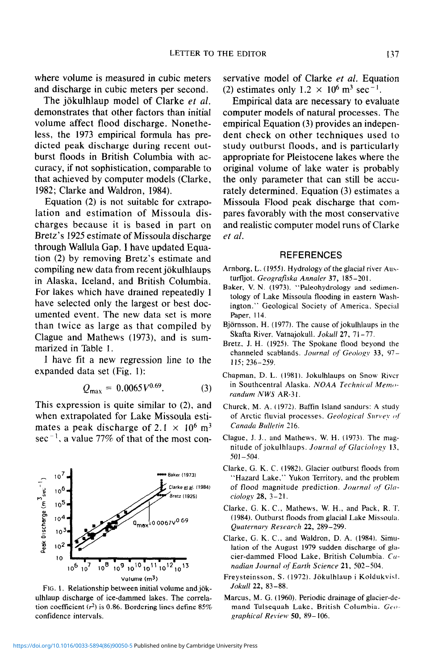where volume is measured in cubic meters and discharge in cubic meters per second.

The jökulhlaup model of Clarke et al. demonstrates that other factors than initial volume affect flood discharge. Nonetheless, the 1973 empirical formula has predicted peak discharge during recent outburst floods in British Columbia with accuracy, if not sophistication, comparable to that achieved by computer models (Clarke, 1982; Clarke and Waldron, 1984).

Equation (2) is not suitable for extrapolation and estimation of Missoula discharges because it is based in part on Bretz's 1925 estimate of Missoula discharge through Wallula Gap. I have updated Equation (2) by removing Bretz's estimate and compiling new data from recent jokulhlaups in Alaska, Iceland, and British Columbia. For lakes which have drained repeatedly I have selected only the largest or best documented event. The new data set is more than twice as large as that compiled by Clague and Mathews (1973), and is summarized in Table I.

I have fit a new regression line to the expanded data set (Fig. I):

$$
Q_{\text{max}} = 0.0065 V^{0.69}.
$$
 (3)

This expression is quite similar to (2), and when extrapolated for Lake Missoula estimates a peak discharge of 2.1  $\times$  10<sup>6</sup> m<sup>3</sup> sec<sup> $-1$ </sup>, a value 77% of that of the most con-



 $\mu$ lo.  $\mu$ . Kelahonsing oceween inihal volume and jor ulhlaup discharge of ice-dammed lakes. The correlation coefficient  $(r^2)$  is 0.86. Bordering lines define 85% confidence intervals.

servative model of Clarke et al. Equation (2) estimates only  $1.2 \times 10^6$  m<sup>3</sup> sec<sup>-1</sup>.

Empirical data are necessary to evaluate computer models of natural processes. The empirical Equation (3) provides an independent check on other techniques used to study outburst floods, and is particularly appropriate for Pleistocene lakes where the original volume of lake water is probably the only parameter that can still be accurately determined. Equation (3) estimates a Missoula Flood peak discharge that compares favorably with the most conservative and realistic computer model runs of Clarke et al.

## **REFERENCES**

- Arnborg, L.  $(1955)$ . Hydrology of the glacial river Austurfljot. Geografiska Annaler 37, 185-201.
- Baker, V. N. (1973). "Paleohydrology and sedimentology of Lake Missoula flooding in eastern Washington." Geological Society of America. Special Paper, 114.
- Björnsson. H. (1977). The cause of jokulhlaups in the Skafta River, Vatnajokull. Jokull 27, 71-77.
- Bretz. J. H. (1925). The Spokane flood beyond the channeled scablands.  $Journal of Geology$  33, 97-115: 236-259.
- Chapman, D. L. (1981). Jokulhlaups on Snow River in Southcentral Alaska. NOAA Technical Memorandum NWS AR-31.
- Churck, M. A. (1972). Baffin Island sandurs: A study of Arctic fluvial processes. Geological Survey of Canada Bulletin 216.
- Clague, J. J.. and Mathews. W. H. (1973). The magnitude of jokulhlaups. Journal of Glaciology 13, 501-504.
- Clarke, Ci. K. C. (1982). Glacier outburst floods from "Hazard Lake," Yukon Territory, and the problem of flood magnitude prediction. Journal of Glacio/ogy 28, 3-21.
- Clarke, G. K. C., Mathews. W. H., and Pack, R. I'. (1984), Outburst floods from glacial Lake Missoma. Quaternup Research 22, 289-299.
- Clarke, Ci. K. C.. and Waldron, D. A. (1984). Simulation of the August 1979 sudden discharge of glaracion of the August 1979 sudden disentatge of gracier-damined  $\Gamma$ 1000 Lake, British Columbia nadian Journal of Earth Science 21, 502–504.<br>Freysteinsson, S. (1972). Jökulhlaup i Koldukvisl.
- Jokull 22, 83-88.
- Marcus, M. G. ( 1960). Periodic drainage of glacier-de $arccos$ ,  $m. G. (1200)$ . Fullouic dramage of gravier-ac mand Tulsequah Lake, British Columbia. Geo-<br>graphical Review 50, 89-106.